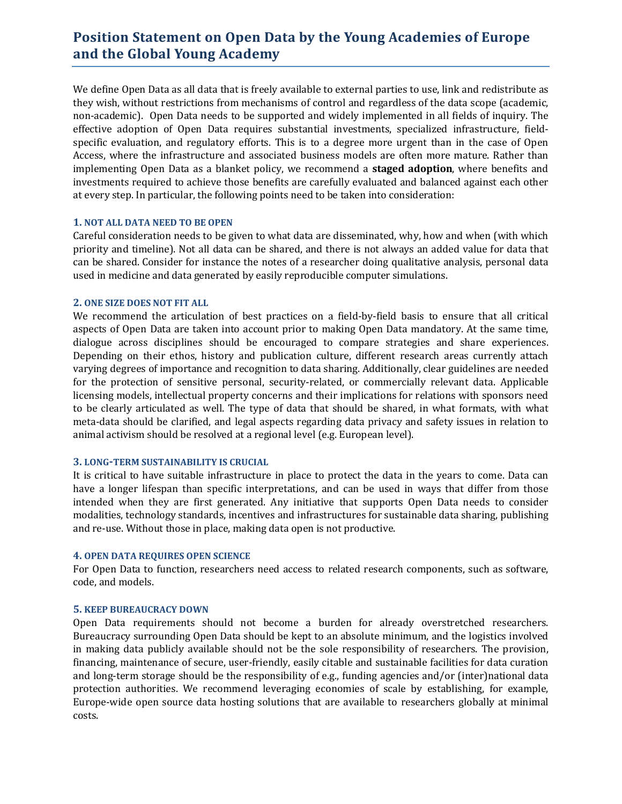# **Position Statement on Open Data by the Young Academies of Europe and the Global Young Academy**

We define Open Data as all data that is freely available to external parties to use, link and redistribute as they wish, without restrictions from mechanisms of control and regardless of the data scope (academic, non-academic). Open Data needs to be supported and widely implemented in all fields of inquiry. The effective adoption of Open Data requires substantial investments, specialized infrastructure, fieldspecific evaluation, and regulatory efforts. This is to a degree more urgent than in the case of Open Access, where the infrastructure and associated business models are often more mature. Rather than implementing Open Data as a blanket policy, we recommend a **staged adoption**, where benefits and investments required to achieve those benefits are carefully evaluated and balanced against each other at every step. In particular, the following points need to be taken into consideration:

#### **1. NOT ALL DATA NEED TO BE OPEN**

Careful consideration needs to be given to what data are disseminated, why, how and when (with which priority and timeline). Not all data can be shared, and there is not always an added value for data that can be shared. Consider for instance the notes of a researcher doing qualitative analysis, personal data used in medicine and data generated by easily reproducible computer simulations.

## **2. ONE SIZE DOES NOT FIT ALL**

We recommend the articulation of best practices on a field-by-field basis to ensure that all critical aspects of Open Data are taken into account prior to making Open Data mandatory. At the same time, dialogue across disciplines should be encouraged to compare strategies and share experiences. Depending on their ethos, history and publication culture, different research areas currently attach varying degrees of importance and recognition to data sharing. Additionally, clear guidelines are needed for the protection of sensitive personal, security-related, or commercially relevant data. Applicable licensing models, intellectual property concerns and their implications for relations with sponsors need to be clearly articulated as well. The type of data that should be shared, in what formats, with what meta-data should be clarified, and legal aspects regarding data privacy and safety issues in relation to animal activism should be resolved at a regional level (e.g. European level).

#### **3. LONG-TERM SUSTAINABILITY IS CRUCIAL**

It is critical to have suitable infrastructure in place to protect the data in the years to come. Data can have a longer lifespan than specific interpretations, and can be used in ways that differ from those intended when they are first generated. Any initiative that supports Open Data needs to consider modalities, technology standards, incentives and infrastructures for sustainable data sharing, publishing and re-use. Without those in place, making data open is not productive.

#### **4. OPEN DATA REQUIRES OPEN SCIENCE**

For Open Data to function, researchers need access to related research components, such as software, code, and models.

#### **5. KEEP BUREAUCRACY DOWN**

Open Data requirements should not become a burden for already overstretched researchers. Bureaucracy surrounding Open Data should be kept to an absolute minimum, and the logistics involved in making data publicly available should not be the sole responsibility of researchers. The provision, financing, maintenance of secure, user-friendly, easily citable and sustainable facilities for data curation and long-term storage should be the responsibility of e.g., funding agencies and/or (inter)national data protection authorities. We recommend leveraging economies of scale by establishing, for example, Europe-wide open source data hosting solutions that are available to researchers globally at minimal costs.